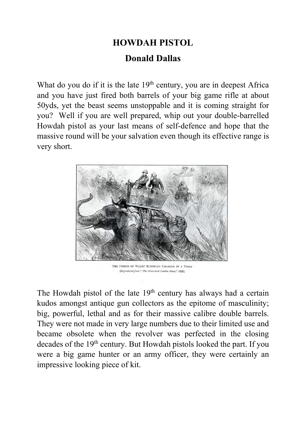## **HOWDAH PISTOL Donald Dallas**

What do you do if it is the late  $19<sup>th</sup>$  century, you are in deepest Africa and you have just fired both barrels of your big game rifle at about 50yds, yet the beast seems unstoppable and it is coming straight for you? Well if you are well prepared, whip out your double-barrelled Howdah pistol as your last means of self-defence and hope that the massive round will be your salvation even though its effective range is very short.



THE PRINCE OF WALES' ELEPHANT CHARGED BY A TIGER [Reproduced from " The Illustrated Loudon News," 1876]

The Howdah pistol of the late  $19<sup>th</sup>$  century has always had a certain kudos amongst antique gun collectors as the epitome of masculinity; big, powerful, lethal and as for their massive calibre double barrels. They were not made in very large numbers due to their limited use and became obsolete when the revolver was perfected in the closing decades of the 19<sup>th</sup> century. But Howdah pistols looked the part. If you were a big game hunter or an army officer, they were certainly an impressive looking piece of kit.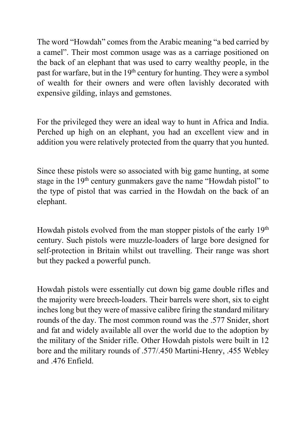The word "Howdah" comes from the Arabic meaning "a bed carried by a camel". Their most common usage was as a carriage positioned on the back of an elephant that was used to carry wealthy people, in the past for warfare, but in the 19<sup>th</sup> century for hunting. They were a symbol of wealth for their owners and were often lavishly decorated with expensive gilding, inlays and gemstones.

For the privileged they were an ideal way to hunt in Africa and India. Perched up high on an elephant, you had an excellent view and in addition you were relatively protected from the quarry that you hunted.

Since these pistols were so associated with big game hunting, at some stage in the 19<sup>th</sup> century gunmakers gave the name "Howdah pistol" to the type of pistol that was carried in the Howdah on the back of an elephant.

Howdah pistols evolved from the man stopper pistols of the early 19<sup>th</sup> century. Such pistols were muzzle-loaders of large bore designed for self-protection in Britain whilst out travelling. Their range was short but they packed a powerful punch.

Howdah pistols were essentially cut down big game double rifles and the majority were breech-loaders. Their barrels were short, six to eight inches long but they were of massive calibre firing the standard military rounds of the day. The most common round was the .577 Snider, short and fat and widely available all over the world due to the adoption by the military of the Snider rifle. Other Howdah pistols were built in 12 bore and the military rounds of .577/.450 Martini-Henry, .455 Webley and .476 Enfield.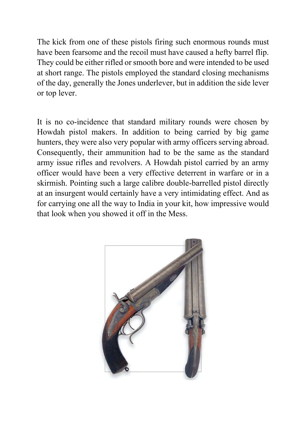The kick from one of these pistols firing such enormous rounds must have been fearsome and the recoil must have caused a hefty barrel flip. They could be either rifled or smooth bore and were intended to be used at short range. The pistols employed the standard closing mechanisms of the day, generally the Jones underlever, but in addition the side lever or top lever.

It is no co-incidence that standard military rounds were chosen by Howdah pistol makers. In addition to being carried by big game hunters, they were also very popular with army officers serving abroad. Consequently, their ammunition had to be the same as the standard army issue rifles and revolvers. A Howdah pistol carried by an army officer would have been a very effective deterrent in warfare or in a skirmish. Pointing such a large calibre double-barrelled pistol directly at an insurgent would certainly have a very intimidating effect. And as for carrying one all the way to India in your kit, how impressive would that look when you showed it off in the Mess.